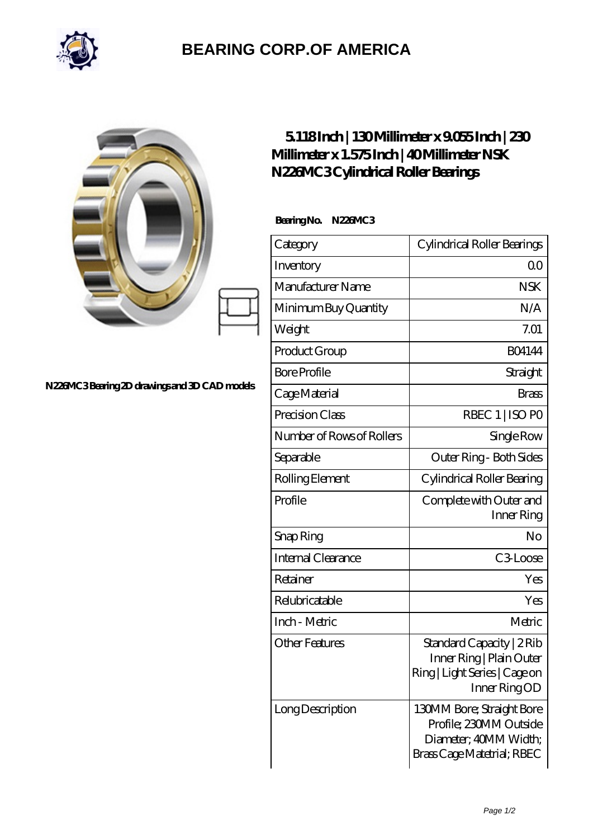

## **[BEARING CORP.OF AMERICA](https://bluemondayreview.com)**

| N226MC3Bearing 2D drawings and 3D CAD models | $5118$ Inch   130Millimeter x 9055 Inch   230<br>Millimeter x 1.575 Inch   40 Millimeter NSK<br>N226MC3Cylindrical Roller Bearings |                                                                                                        |
|----------------------------------------------|------------------------------------------------------------------------------------------------------------------------------------|--------------------------------------------------------------------------------------------------------|
|                                              | Bearing No. N226MC3                                                                                                                |                                                                                                        |
|                                              | Category                                                                                                                           | Cylindrical Roller Bearings                                                                            |
|                                              | Inventory                                                                                                                          | 0 <sup>0</sup>                                                                                         |
|                                              | Manufacturer Name                                                                                                                  | <b>NSK</b>                                                                                             |
|                                              | Minimum Buy Quantity                                                                                                               | N/A                                                                                                    |
|                                              | Weight                                                                                                                             | 7.01                                                                                                   |
|                                              | Product Group                                                                                                                      | <b>BO4144</b>                                                                                          |
|                                              | <b>Bore Profile</b>                                                                                                                | Straight                                                                                               |
|                                              | Cage Material                                                                                                                      | <b>Brass</b>                                                                                           |
|                                              | Precision Class                                                                                                                    | RBEC 1   ISO PO                                                                                        |
|                                              | Number of Rows of Rollers                                                                                                          | Single Row                                                                                             |
|                                              | Separable                                                                                                                          | Outer Ring - Both Sides                                                                                |
|                                              | Rolling Element                                                                                                                    | Cylindrical Roller Bearing                                                                             |
|                                              | Profile                                                                                                                            | Complete with Outer and<br>Inner Ring                                                                  |
|                                              | Snap Ring                                                                                                                          | No                                                                                                     |
|                                              | Internal Clearance                                                                                                                 | C3Loose                                                                                                |
|                                              | Retainer                                                                                                                           | Yes                                                                                                    |
|                                              | Relubricatable                                                                                                                     | Yes                                                                                                    |
|                                              | Inch - Metric                                                                                                                      | Metric                                                                                                 |
|                                              | <b>Other Features</b>                                                                                                              | Standard Capacity   2 Rib<br>Inner Ring   Plain Outer<br>Ring   Light Series   Cage on<br>Inner RingOD |
|                                              | Long Description                                                                                                                   | 130MM Bore; Straight Bore<br>Profile; 230MM Outside<br>Diameter; 40MM Width;                           |

Brass Cage Matetrial; RBEC